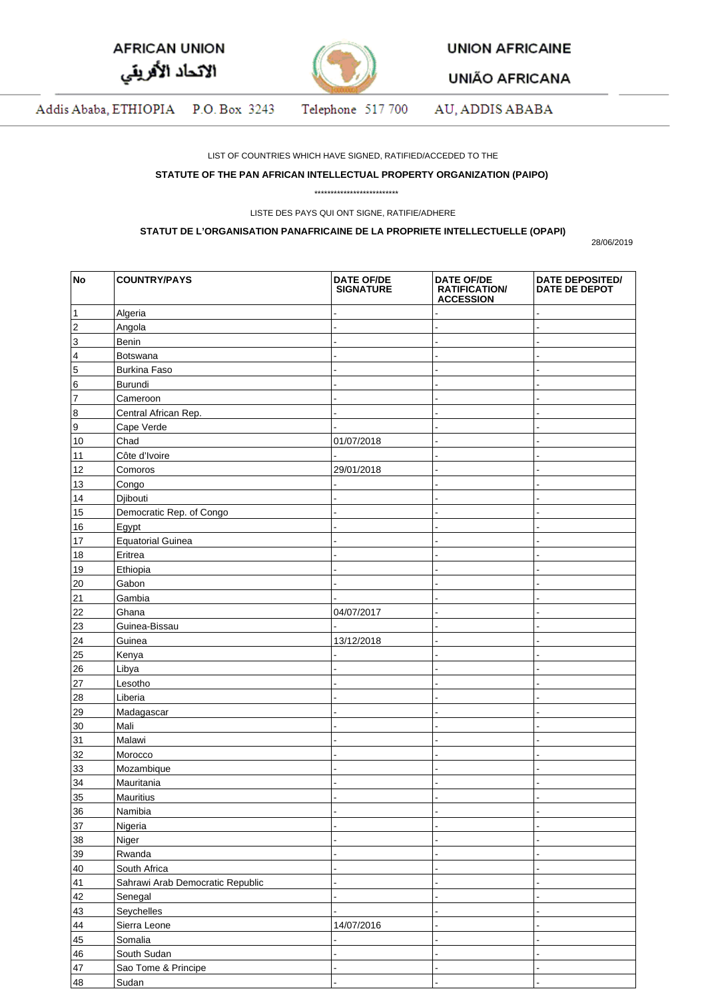| <b>AFRICAN UNION</b> |  |
|----------------------|--|
| الاتحاد الأفريقي     |  |



**UNION AFRICAINE** 

**UNIÃO AFRICANA** 

Addis Ababa, ETHIOPIA P.O. Box 3243 Telephone 517 700 AU, ADDIS ABABA

LIST OF COUNTRIES WHICH HAVE SIGNED, RATIFIED/ACCEDED TO THE

## **STATUTE OF THE PAN AFRICAN INTELLECTUAL PROPERTY ORGANIZATION (PAIPO)**

\*\*\*\*\*\*\*\*\*\*\*\*\*\*\*\*\*\*\*\*\*\*\*\*\*\*

LISTE DES PAYS QUI ONT SIGNE, RATIFIE/ADHERE

## **STATUT DE L'ORGANISATION PANAFRICAINE DE LA PROPRIETE INTELLECTUELLE (OPAPI)**

28/06/2019

| No                       | <b>COUNTRY/PAYS</b>              | <b>DATE OF/DE</b><br><b>SIGNATURE</b> | <b>DATE OF/DE</b><br><b>RATIFICATION/</b><br><b>ACCESSION</b> | <b>DATE DEPOSITED/</b><br><b>DATE DE DEPOT</b> |
|--------------------------|----------------------------------|---------------------------------------|---------------------------------------------------------------|------------------------------------------------|
| 1                        | Algeria                          |                                       |                                                               |                                                |
| $\overline{2}$           | Angola                           |                                       |                                                               |                                                |
| $\vert$ 3                | Benin                            |                                       | ż                                                             |                                                |
| $\vert$ 4                | Botswana                         |                                       |                                                               |                                                |
| $\overline{\phantom{a}}$ | <b>Burkina Faso</b>              |                                       |                                                               |                                                |
| $6\overline{6}$          | <b>Burundi</b>                   |                                       |                                                               |                                                |
| $ _7$                    | Cameroon                         |                                       |                                                               |                                                |
| 8                        | Central African Rep.             |                                       | $\overline{a}$                                                |                                                |
| 9                        | Cape Verde                       |                                       | L                                                             |                                                |
| 10                       | Chad                             | 01/07/2018                            | $\overline{a}$                                                |                                                |
| 11                       | Côte d'Ivoire                    |                                       | $\overline{a}$                                                |                                                |
| 12                       | Comoros                          | 29/01/2018                            | $\overline{a}$                                                |                                                |
| 13                       | Congo                            |                                       | L                                                             |                                                |
| 14                       | Djibouti                         |                                       | L                                                             |                                                |
| 15                       | Democratic Rep. of Congo         |                                       |                                                               |                                                |
| 16                       | Egypt                            |                                       |                                                               |                                                |
| 17                       | <b>Equatorial Guinea</b>         |                                       | $\overline{a}$                                                |                                                |
| 18                       | Eritrea                          |                                       | L                                                             |                                                |
| 19                       | Ethiopia                         |                                       | L                                                             |                                                |
| 20                       | Gabon                            |                                       | $\overline{a}$                                                |                                                |
| 21                       | Gambia                           |                                       | $\overline{a}$                                                |                                                |
| 22                       | Ghana                            | 04/07/2017                            | $\overline{a}$                                                |                                                |
| 23                       | Guinea-Bissau                    |                                       | L                                                             |                                                |
| 24                       | Guinea                           | 13/12/2018                            | $\overline{a}$                                                |                                                |
| 25                       | Kenya                            |                                       |                                                               |                                                |
| 26                       | Libya                            |                                       | L                                                             |                                                |
| 27                       | Lesotho                          |                                       | $\overline{a}$                                                |                                                |
| 28                       | Liberia                          |                                       | L                                                             |                                                |
| 29                       | Madagascar                       |                                       | L                                                             |                                                |
| 30                       | Mali                             |                                       | L                                                             |                                                |
| 31                       | Malawi                           |                                       | L                                                             |                                                |
| 32                       | Morocco                          |                                       | L                                                             |                                                |
| 33                       | Mozambique                       |                                       | L                                                             |                                                |
| 34                       | Mauritania                       |                                       | L                                                             |                                                |
| 35                       | Mauritius                        |                                       |                                                               |                                                |
| 36                       | Namibia                          |                                       | $\overline{a}$                                                |                                                |
| 37                       | Nigeria                          |                                       | L                                                             |                                                |
| 38                       | Niger                            |                                       | L                                                             |                                                |
| 39                       | Rwanda                           |                                       | $\overline{a}$                                                |                                                |
| 40                       | South Africa                     |                                       | L                                                             |                                                |
| 41                       | Sahrawi Arab Democratic Republic |                                       | L                                                             |                                                |
| 42                       | Senegal                          |                                       | L                                                             |                                                |
| 43                       | Seychelles                       |                                       |                                                               |                                                |
| 44                       | Sierra Leone                     | 14/07/2016                            | $\overline{a}$                                                |                                                |
| 45                       | Somalia                          |                                       | L                                                             |                                                |
| 46                       | South Sudan                      |                                       | L.                                                            |                                                |
| 47                       | Sao Tome & Principe              |                                       | $\overline{a}$                                                |                                                |
| 48                       | Sudan                            |                                       |                                                               |                                                |
|                          |                                  |                                       |                                                               |                                                |